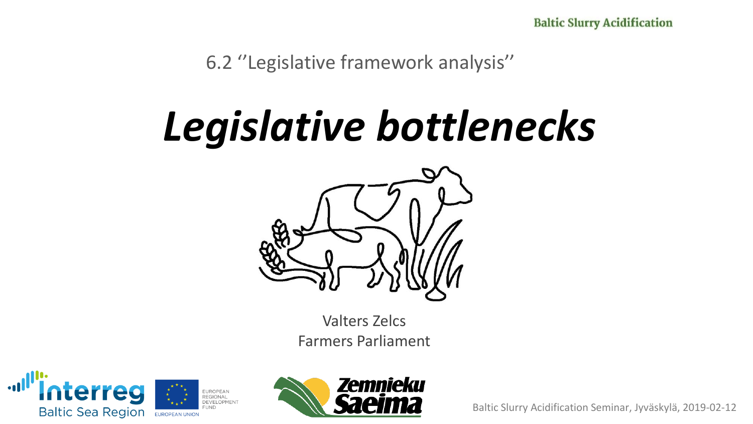6.2 ''Legislative framework analysis''

### *Legislative bottlenecks*



Valters Zelcs Farmers Parliament



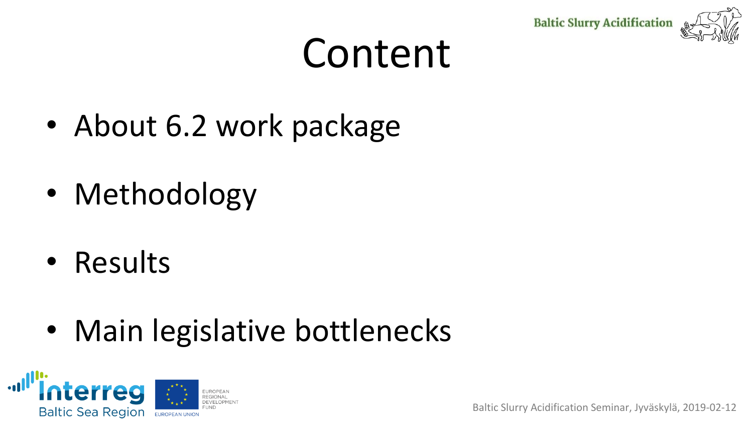



### Content

- About 6.2 work package
- Methodology
- Results
- Main legislative bottlenecks

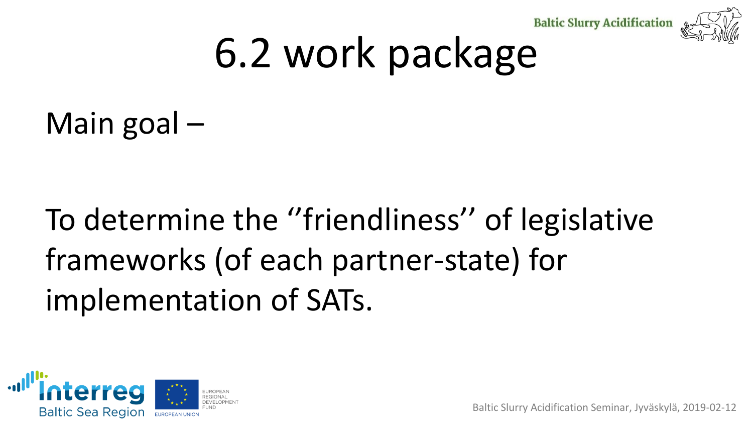



## 6.2 work package

Main goal –

#### To determine the ''friendliness'' of legislative frameworks (of each partner-state) for implementation of SATs.

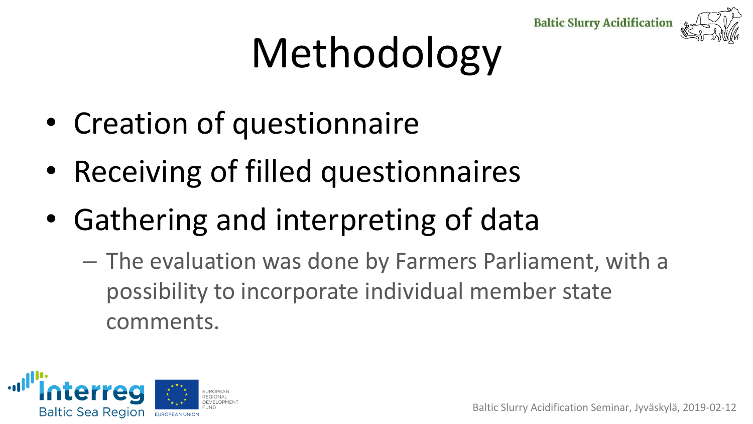



## Methodology

- Creation of questionnaire
- Receiving of filled questionnaires
- Gathering and interpreting of data
	- The evaluation was done by Farmers Parliament, with a possibility to incorporate individual member state comments.

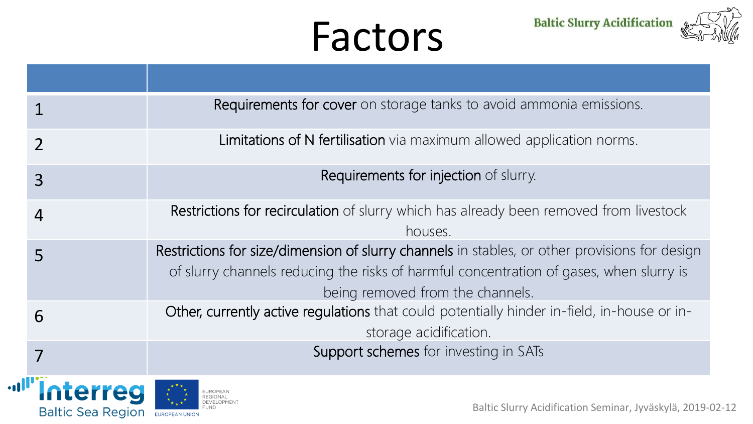### Factors

**Baltic Slurry Acidification** 



|                                             | Requirements for cover on storage tanks to avoid ammonia emissions.                                                                                                                                                          |  |  |
|---------------------------------------------|------------------------------------------------------------------------------------------------------------------------------------------------------------------------------------------------------------------------------|--|--|
|                                             | Limitations of N fertilisation via maximum allowed application norms.                                                                                                                                                        |  |  |
| 3                                           | Requirements for injection of slurry.                                                                                                                                                                                        |  |  |
| 4                                           | Restrictions for recirculation of slurry which has already been removed from livestock<br>houses.                                                                                                                            |  |  |
| 5                                           | Restrictions for size/dimension of slurry channels in stables, or other provisions for design<br>of slurry channels reducing the risks of harmful concentration of gases, when slurry is<br>being removed from the channels. |  |  |
| 6                                           | Other, currently active regulations that could potentially hinder in-field, in-house or in-<br>storage acidification.                                                                                                        |  |  |
|                                             | Support schemes for investing in SATs                                                                                                                                                                                        |  |  |
| <b>Interreg</b><br><b>Baltic Sea Region</b> | Baltic Slurry Acidification Seminar, Jyväskylä, 2019-0                                                                                                                                                                       |  |  |

**Jul**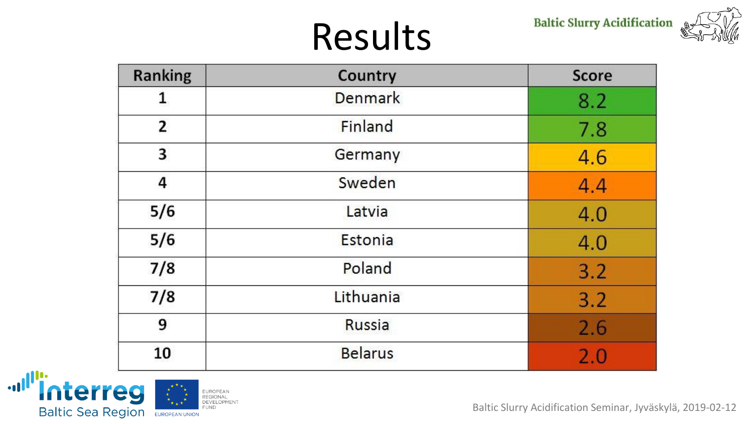### Results

**Baltic Slurry Acidification** 



| <b>Ranking</b> | Country        | <b>Score</b> |
|----------------|----------------|--------------|
| 1              | <b>Denmark</b> | 8.2          |
| $\mathbf{2}$   | Finland        | 7.8          |
| 3              | Germany        | 4.6          |
| 4              | Sweden         | 4.4          |
| 5/6            | Latvia         | 4.0          |
| 5/6            | Estonia        | 4.0          |
| 7/8            | Poland         | 3.2          |
| 7/8            | Lithuania      | 3.2          |
| 9              | Russia         | 2.6          |
| 10             | <b>Belarus</b> | 2.0          |

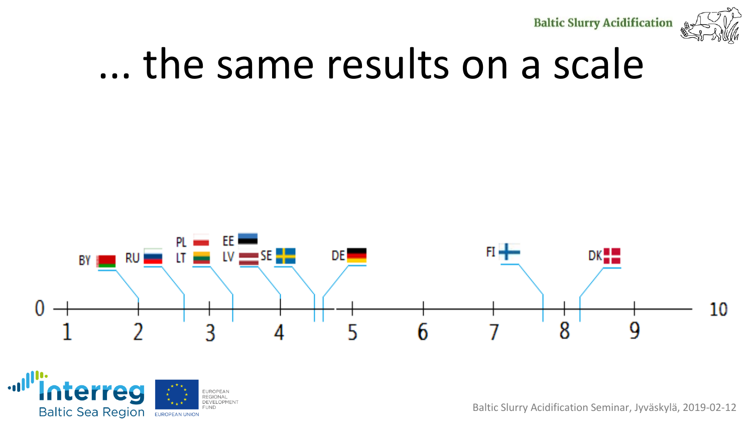**Baltic Slurry Acidification** 



### ... the same results on a scale



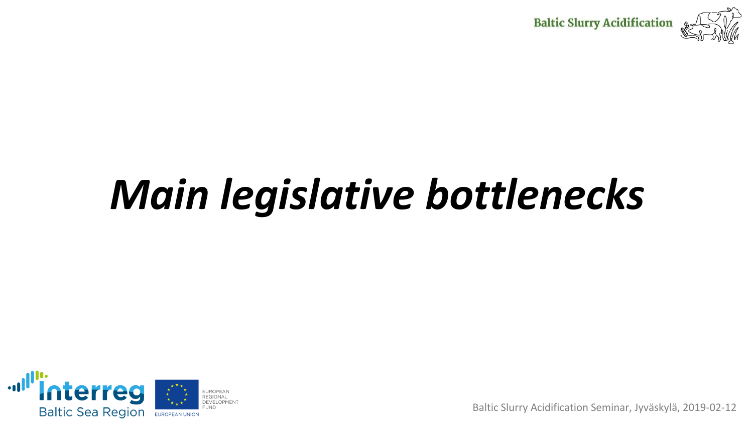

## *Main legislative bottlenecks*

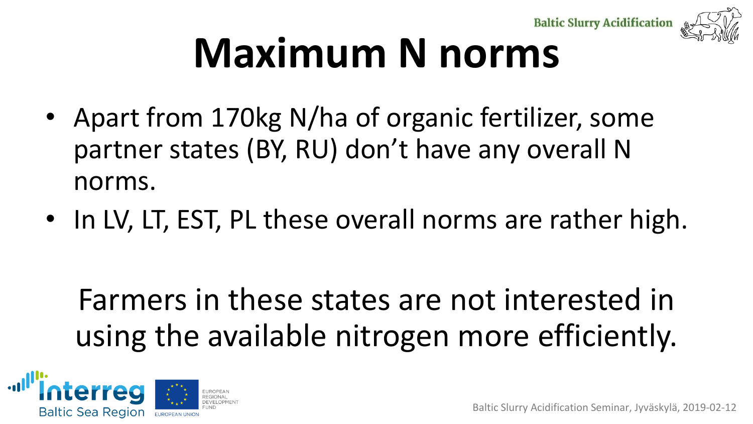**Baltic Slurry Acidification** 



## **Maximum N norms**

- Apart from 170kg N/ha of organic fertilizer, some partner states (BY, RU) don't have any overall N norms.
- In LV, LT, EST, PL these overall norms are rather high.

#### Farmers in these states are not interested in using the available nitrogen more efficiently.

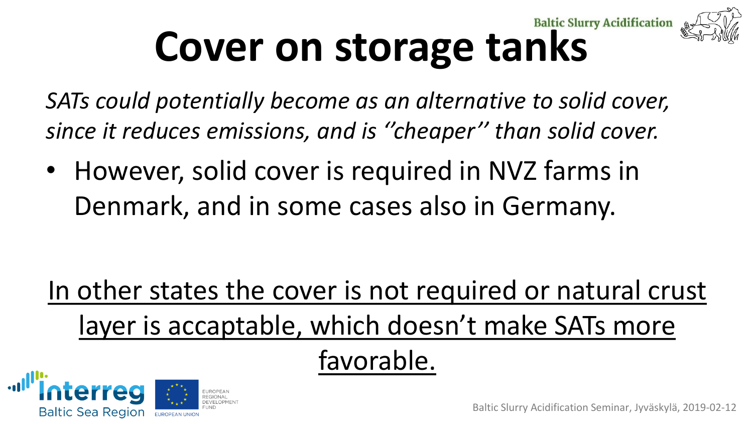## **Cover on storage tanks**

*SATs could potentially become as an alternative to solid cover, since it reduces emissions, and is ''cheaper'' than solid cover.*

• However, solid cover is required in NVZ farms in Denmark, and in some cases also in Germany.

In other states the cover is not required or natural crust layer is accaptable, which doesn't make SATs more

favorable.

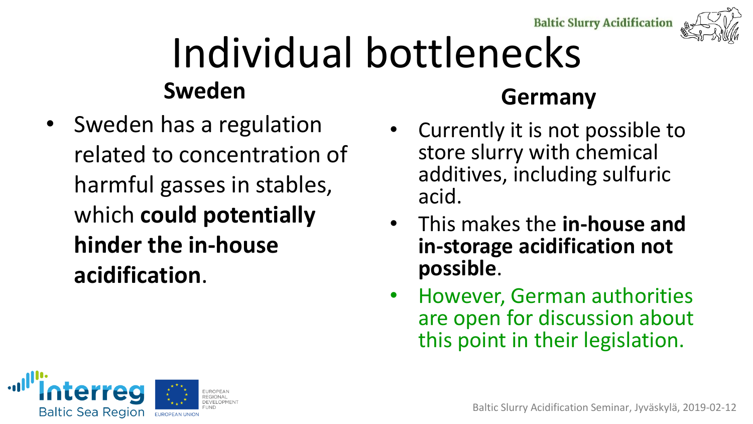**Baltic Slurry Acidification** 



### Individual bottlenecks **Sweden**

• Sweden has a regulation related to concentration of harmful gasses in stables, which **could potentially hinder the in-house acidification**.

#### **Germany**

- Currently it is not possible to store slurry with chemical additives, including sulfuric acid.
- This makes the **in-house and in-storage acidification not possible**.
- However, German authorities are open for discussion about this point in their legislation.